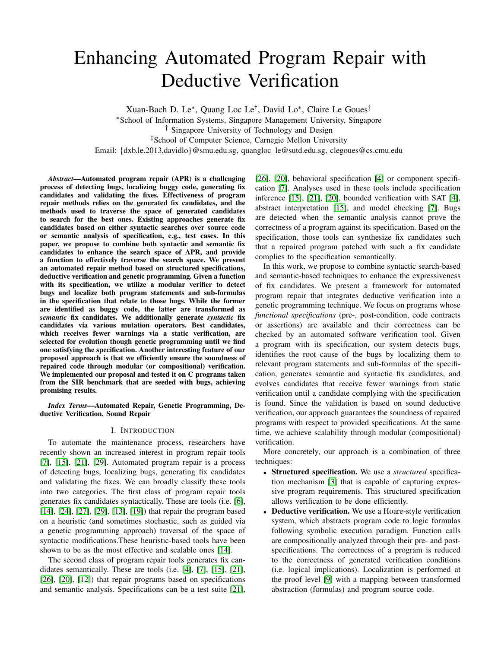# Enhancing Automated Program Repair with Deductive Verification

Xuan-Bach D. Le<sup>∗</sup> , Quang Loc Le† , David Lo<sup>∗</sup> , Claire Le Goues‡ <sup>∗</sup>School of Information Systems, Singapore Management University, Singapore † Singapore University of Technology and Design ‡School of Computer Science, Carnegie Mellon University Email: {dxb.le.2013,davidlo}@smu.edu.sg, quangloc le@sutd.edu.sg, clegoues@cs.cmu.edu

*Abstract*—Automated program repair (APR) is a challenging process of detecting bugs, localizing buggy code, generating fix candidates and validating the fixes. Effectiveness of program repair methods relies on the generated fix candidates, and the methods used to traverse the space of generated candidates to search for the best ones. Existing approaches generate fix candidates based on either syntactic searches over source code or semantic analysis of specification, e.g., test cases. In this paper, we propose to combine both syntactic and semantic fix candidates to enhance the search space of APR, and provide a function to effectively traverse the search space. We present an automated repair method based on structured specifications, deductive verification and genetic programming. Given a function with its specification, we utilize a modular verifier to detect bugs and localize both program statements and sub-formulas in the specification that relate to those bugs. While the former are identified as buggy code, the latter are transformed as *semantic* fix candidates. We additionally generate *syntactic* fix candidates via various mutation operators. Best candidates, which receives fewer warnings via a static verification, are selected for evolution though genetic programming until we find one satisfying the specification. Another interesting feature of our proposed approach is that we efficiently ensure the soundness of repaired code through modular (or compositional) verification. We implemented our proposal and tested it on C programs taken from the SIR benchmark that are seeded with bugs, achieving promising results.

*Index Terms*—Automated Repair, Genetic Programming, Deductive Verification, Sound Repair

### I. INTRODUCTION

To automate the maintenance process, researchers have recently shown an increased interest in program repair tools  $[7]$ ,  $[15]$ ,  $[21]$ ,  $[29]$ . Automated program repair is a process of detecting bugs, localizing bugs, generating fix candidates and validating the fixes. We can broadly classify these tools into two categories. The first class of program repair tools generates fix candidates syntactically. These are tools (i.e. [\[6\]](#page-4-4), [\[14\]](#page-4-5), [\[24\]](#page-4-6), [\[27\]](#page-4-7), [\[29\]](#page-4-3), [\[13\]](#page-4-8), [\[19\]](#page-4-9)) that repair the program based on a heuristic (and sometimes stochastic, such as guided via a genetic programming approach) traversal of the space of syntactic modifications.These heuristic-based tools have been shown to be as the most effective and scalable ones [\[14\]](#page-4-5).

The second class of program repair tools generates fix candidates semantically. These are tools (i.e. [\[4\]](#page-4-10), [\[7\]](#page-4-0), [\[15\]](#page-4-1), [\[21\]](#page-4-2), [\[26\]](#page-4-11), [\[20\]](#page-4-12), [\[12\]](#page-4-13)) that repair programs based on specifications and semantic analysis. Specifications can be a test suite [\[21\]](#page-4-2), [\[26\]](#page-4-11), [\[20\]](#page-4-12), behavioral specification [\[4\]](#page-4-10) or component specification [\[7\]](#page-4-0). Analyses used in these tools include specification inference [\[15\]](#page-4-1), [\[21\]](#page-4-2), [\[20\]](#page-4-12), bounded verification with SAT [\[4\]](#page-4-10), abstract interpretation [\[15\]](#page-4-1), and model checking [\[7\]](#page-4-0). Bugs are detected when the semantic analysis cannot prove the correctness of a program against its specification. Based on the specification, those tools can synthesize fix candidates such that a repaired program patched with such a fix candidate complies to the specification semantically.

In this work, we propose to combine syntactic search-based and semantic-based techniques to enhance the expressiveness of fix candidates. We present a framework for automated program repair that integrates deductive verification into a genetic programming technique. We focus on programs whose *functional specifications* (pre-, post-condition, code contracts or assertions) are available and their correctness can be checked by an automated software verification tool. Given a program with its specification, our system detects bugs, identifies the root cause of the bugs by localizing them to relevant program statements and sub-formulas of the specification, generates semantic and syntactic fix candidates, and evolves candidates that receive fewer warnings from static verification until a candidate complying with the specification is found. Since the validation is based on sound deductive verification, our approach guarantees the soundness of repaired programs with respect to provided specifications. At the same time, we achieve scalability through modular (compositional) verification.

More concretely, our approach is a combination of three techniques:

- Structured specification. We use a *structured* specification mechanism [\[3\]](#page-4-14) that is capable of capturing expressive program requirements. This structured specification allows verification to be done efficiently.
- **Deductive verification.** We use a Hoare-style verification system, which abstracts program code to logic formulas following symbolic execution paradigm. Function calls are compositionally analyzed through their pre- and postspecifications. The correctness of a program is reduced to the correctness of generated verification conditions (i.e. logical implications). Localization is performed at the proof level [\[9\]](#page-4-15) with a mapping between transformed abstraction (formulas) and program source code.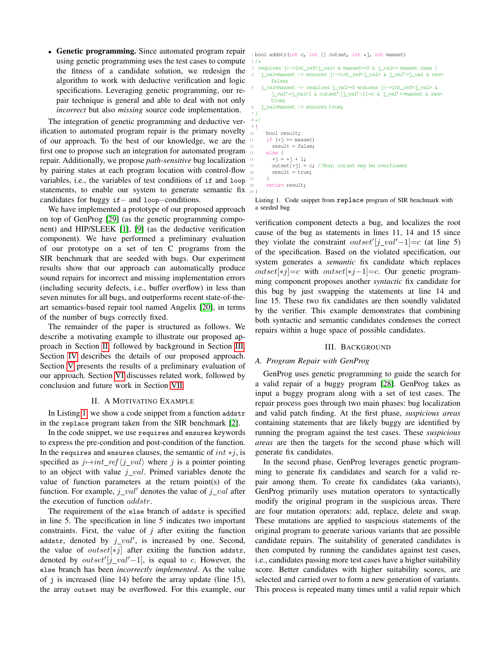• Genetic programming. Since automated program repair using genetic programming uses the test cases to compute the fitness of a candidate solution, we redesign the algorithm to work with deductive verification and logic specifications. Leveraging genetic programming, our repair technique is general and able to deal with not only *incorrect* but also *missing* source code implementation.

The integration of genetic programming and deductive verification to automated program repair is the primary novelty of our approach. To the best of our knowledge, we are the first one to propose such an integration for automated program repair. Additionally, we propose *path-sensitive* bug localization by pairing states at each program location with control-flow variables, i.e., the variables of test conditions of if and loop statements, to enable our system to generate semantic fix  $\frac{1}{19}$ } candidates for buggy if− and loop−conditions.

We have implemented a prototype of our proposed approach on top of GenProg [\[29\]](#page-4-3) (as the genetic programming component) and HIP/SLEEK [\[1\]](#page-4-16), [\[9\]](#page-4-15) (as the deductive verification component). We have performed a preliminary evaluation of our prototype on a set of ten C programs from the SIR benchmark that are seeded with bugs. Our experiment results show that our approach can automatically produce sound repairs for incorrect and missing implementation errors (including security defects, i.e., buffer overflow) in less than seven minutes for all bugs, and outperforms recent state-of-theart semantics-based repair tool named Angelix [\[20\]](#page-4-12), in terms of the number of bugs correctly fixed.

The remainder of the paper is structured as follows. We describe a motivating example to illustrate our proposed approach in Section [II,](#page-1-0) followed by background in Section [III.](#page-1-1) Section [IV](#page-2-0) describes the details of our proposed approach. Section [V](#page-3-0) presents the results of a preliminary evaluation of our approach. Section [VI](#page-4-17) discusses related work, followed by conclusion and future work in Section [VII.](#page-4-18)

#### II. A MOTIVATING EXAMPLE

<span id="page-1-0"></span>In Listing [1,](#page-1-2) we show a code snippet from a function addstr in the replace program taken from the SIR benchmark [\[2\]](#page-4-19).

In the code snippet, we use requires and ensures keywords to express the pre-condition and post-condition of the function. In the requires and ensures clauses, the semantic of  $int *j$ , is specified as  $j \mapsto int\_ref\langle j\_val \rangle$  where j is a pointer pointing to an object with value  $j\_val$ . Primed variables denote the value of function parameters at the return point(s) of the function. For example,  $j_{val}$  denotes the value of  $j_{val}$  after the execution of function *addstr*.

The requirement of the else branch of addstr is specified in line 5. The specification in line 5 indicates two important constraints. First, the value of *j* after exiting the function addstr, denoted by  $j\_val'$ , is increased by one. Second, the value of *outset* $[*j]$  after exiting the function addstr, denoted by  $outset'[j\_val'-1]$ , is equal to c. However, the else branch has been *incorrectly implemented*. As the value of j is increased (line 14) before the array update (line 15), the array outset may be overflowed. For this example, our <span id="page-1-2"></span><sup>1</sup> bool addstr(int c, int [] outset, int \*j, int maxset)  $2 / *$ 

- 3 requires j|->int\_ref<j\_val> & maxset>=0 & j\_val<= maxset case { j\_val=maxset -> ensures j|->int\_ref<j\_val> & j\_val'=j\_val & res= false;
- 5 j\_val<maxset -> requires j\_val>=0 ensures j|->int\_ref<j\_val> & j\_val'=j\_val+1 & outset'[j\_val'-1]=c & j\_val'<=maxset & res= true;

```
6 j_val>maxset -> ensures true;
 7 }
8 */
9 {
10 bool result;
      if (*) >= maxset)
        result = false;else {
        *j = *j + 1;outset[\starj] = c; //Bug: outset may be overflowed
        result = true;17 }
      return result;
```
Listing 1. Code snippet from replace program of SIR benchmark with a seeded bug

verification component detects a bug, and localizes the root cause of the bug as statements in lines 11, 14 and 15 since they violate the constraint *outset*'[j\_val'-1]=c (at line 5) of the specification. Based on the violated specification, our system generates a *semantic* fix candidate which replaces *outset*[\**j*]=c with *outset*[\**j*−1]=c. Our genetic programming component proposes another *syntactic* fix candidate for this bug by just swapping the statements at line 14 and line 15. These two fix candidates are then soundly validated by the verifier. This example demonstrates that combining both syntactic and semantic candidates condenses the correct repairs within a huge space of possible candidates.

#### III. BACKGROUND

### <span id="page-1-1"></span>*A. Program Repair with GenProg*

GenProg uses genetic programming to guide the search for a valid repair of a buggy program [\[28\]](#page-4-20). GenProg takes as input a buggy program along with a set of test cases. The repair process goes through two main phases: bug localization and valid patch finding. At the first phase, *suspicious areas* containing statements that are likely buggy are identified by running the program against the test cases. These *suspicious areas* are then the targets for the second phase which will generate fix candidates.

In the second phase, GenProg leverages genetic programming to generate fix candidates and search for a valid repair among them. To create fix candidates (aka variants), GenProg primarily uses mutation operators to syntactically modify the original program in the suspicious areas. There are four mutation operators: add, replace, delete and swap. These mutations are applied to suspicious statements of the original program to generate various variants that are possible candidate repairs. The suitability of generated candidates is then computed by running the candidates against test cases, i.e., candidates passing more test cases have a higher suitability score. Better candidates with higher suitability scores, are selected and carried over to form a new generation of variants. This process is repeated many times until a valid repair which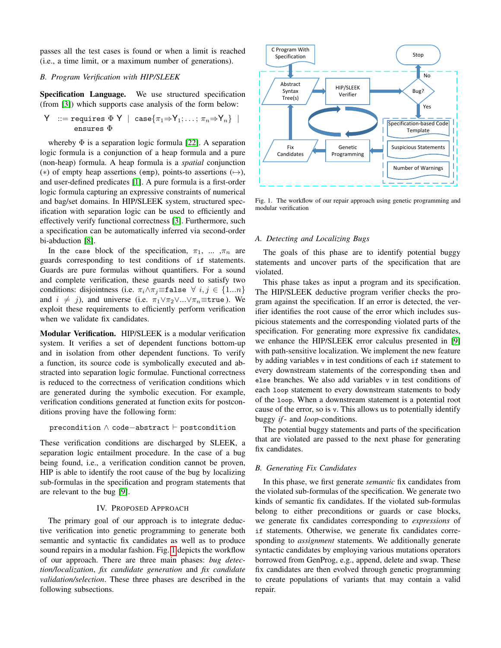passes all the test cases is found or when a limit is reached (i.e., a time limit, or a maximum number of generations).

# *B. Program Verification with HIP/SLEEK*

Specification Language. We use structured specification (from [\[3\]](#page-4-14)) which supports case analysis of the form below:

Y ::= requires 
$$
\Phi Y \mid \text{case} \{\pi_1 \Rightarrow Y_1; \ldots; \pi_n \Rightarrow Y_n\} \mid
$$
  
ensures  $\Phi$ 

whereby  $\Phi$  is a separation logic formula [\[22\]](#page-4-21). A separation logic formula is a conjunction of a heap formula and a pure (non-heap) formula. A heap formula is a *spatial* conjunction (\*) of empty heap assertions (emp), points-to assertions  $(\rightarrow)$ , and user-defined predicates [\[1\]](#page-4-16). A pure formula is a first-order logic formula capturing an expressive constraints of numerical and bag/set domains. In HIP/SLEEK system, structured specification with separation logic can be used to efficiently and effectively verify functional correctness [\[3\]](#page-4-14). Furthermore, such a specification can be automatically inferred via second-order bi-abduction [\[8\]](#page-4-22).

In the case block of the specification,  $\pi_1$ , ... , $\pi_n$  are guards corresponding to test conditions of if statements. Guards are pure formulas without quantifiers. For a sound and complete verification, these guards need to satisfy two conditions: disjointness (i.e.  $\pi_i \wedge \pi_j \equiv \texttt{false} \ \forall \ i, j \in \{1...n\}$ and  $i \neq j$ , and universe (i.e.  $\pi_1 \vee \pi_2 \vee \ldots \vee \pi_n \equiv \text{true}$ ). We exploit these requirements to efficiently perform verification when we validate fix candidates.

Modular Verification. HIP/SLEEK is a modular verification system. It verifies a set of dependent functions bottom-up and in isolation from other dependent functions. To verify a function, its source code is symbolically executed and abstracted into separation logic formulae. Functional correctness is reduced to the correctness of verification conditions which are generated during the symbolic execution. For example, verification conditions generated at function exits for postconditions proving have the following form:

```
precondition \land code-abstract \vdash postcondition
```
These verification conditions are discharged by SLEEK, a separation logic entailment procedure. In the case of a bug being found, i.e., a verification condition cannot be proven, HIP is able to identify the root cause of the bug by localizing sub-formulas in the specification and program statements that are relevant to the bug [\[9\]](#page-4-15).

# IV. PROPOSED APPROACH

<span id="page-2-0"></span>The primary goal of our approach is to integrate deductive verification into genetic programming to generate both semantic and syntactic fix candidates as well as to produce sound repairs in a modular fashion. Fig. [1](#page-2-1) depicts the workflow of our approach. There are three main phases: *bug detection/localization*, *fix candidate generation* and *fix candidate validation/selection*. These three phases are described in the following subsections.



<span id="page-2-1"></span>Fig. 1. The workflow of our repair approach using genetic programming and modular verification

## *A. Detecting and Localizing Bugs*

The goals of this phase are to identify potential buggy statements and uncover parts of the specification that are violated.

This phase takes as input a program and its specification. The HIP/SLEEK deductive program verifier checks the program against the specification. If an error is detected, the verifier identifies the root cause of the error which includes suspicious statements and the corresponding violated parts of the specification. For generating more expressive fix candidates, we enhance the HIP/SLEEK error calculus presented in [\[9\]](#page-4-15) with path-sensitive localization. We implement the new feature by adding variables v in test conditions of each if statement to every downstream statements of the corresponding then and else branches. We also add variables v in test conditions of each loop statement to every downstream statements to body of the loop. When a downstream statement is a potential root cause of the error, so is v. This allows us to potentially identify buggy *if*- and *loop*-conditions.

The potential buggy statements and parts of the specification that are violated are passed to the next phase for generating fix candidates.

# *B. Generating Fix Candidates*

In this phase, we first generate *semantic* fix candidates from the violated sub-formulas of the specification. We generate two kinds of semantic fix candidates. If the violated sub-formulas belong to either preconditions or guards or case blocks, we generate fix candidates corresponding to *expressions* of if statements. Otherwise, we generate fix candidates corresponding to *assignment* statements. We additionally generate syntactic candidates by employing various mutations operators borrowed from GenProg, e.g., append, delete and swap. These fix candidates are then evolved through genetic programming to create populations of variants that may contain a valid repair.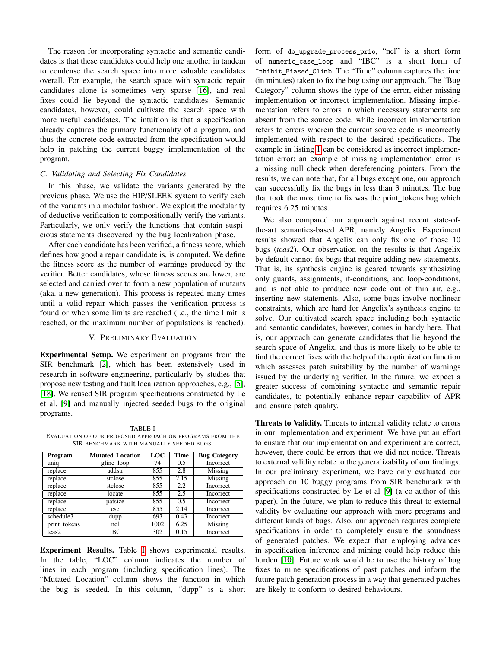The reason for incorporating syntactic and semantic candidates is that these candidates could help one another in tandem to condense the search space into more valuable candidates overall. For example, the search space with syntactic repair candidates alone is sometimes very sparse [\[16\]](#page-4-23), and real fixes could lie beyond the syntactic candidates. Semantic candidates, however, could cultivate the search space with more useful candidates. The intuition is that a specification already captures the primary functionality of a program, and thus the concrete code extracted from the specification would help in patching the current buggy implementation of the program.

# *C. Validating and Selecting Fix Candidates*

In this phase, we validate the variants generated by the previous phase. We use the HIP/SLEEK system to verify each of the variants in a modular fashion. We exploit the modularity of deductive verification to compositionally verify the variants. Particularly, we only verify the functions that contain suspicious statements discovered by the bug localization phase.

After each candidate has been verified, a fitness score, which defines how good a repair candidate is, is computed. We define the fitness score as the number of warnings produced by the verifier. Better candidates, whose fitness scores are lower, are selected and carried over to form a new population of mutants (aka. a new generation). This process is repeated many times until a valid repair which passes the verification process is found or when some limits are reached (i.e., the time limit is reached, or the maximum number of populations is reached).

## V. PRELIMINARY EVALUATION

<span id="page-3-0"></span>Experimental Setup. We experiment on programs from the SIR benchmark [\[2\]](#page-4-19), which has been extensively used in research in software engineering, particularly by studies that propose new testing and fault localization approaches, e.g., [\[5\]](#page-4-24), [\[18\]](#page-4-25). We reused SIR program specifications constructed by Le et al. [\[9\]](#page-4-15) and manually injected seeded bugs to the original programs.

<span id="page-3-1"></span>TABLE I EVALUATION OF OUR PROPOSED APPROACH ON PROGRAMS FROM THE SIR BENCHMARK WITH MANUALLY SEEDED BUGS.

| Program      | <b>Mutated Location</b> | LOC  | <b>Time</b> | <b>Bug Category</b> |
|--------------|-------------------------|------|-------------|---------------------|
| uniq         | gline_loop              | 74   | 0.5         | <b>Incorrect</b>    |
| replace      | addstr                  | 855  | 2.8         | Missing             |
| replace      | stclose                 | 855  | 2.15        | Missing             |
| replace      | stclose                 | 855  | 2.2         | Incorrect           |
| replace      | locate                  | 855  | 2.5         | Incorrect           |
| replace      | patsize                 | 855  | 0.5         | Incorrect           |
| replace      | esc                     | 855  | 2.14        | Incorrect           |
| schedule3    | dupp                    | 693  | 0.43        | Incorrect           |
| print tokens | ncl                     | 1002 | 6.25        | Missing             |
| tcas2        | IBC                     | 302  | 0.15        | Incorrect           |

Experiment Results. Table [I](#page-3-1) shows experimental results. In the table, "LOC" column indicates the number of lines in each program (including specification lines). The "Mutated Location" column shows the function in which the bug is seeded. In this column, "dupp" is a short

form of do upgrade process prio, "ncl" is a short form of numeric case loop and "IBC" is a short form of Inhibit Biased Climb. The "Time" column captures the time (in minutes) taken to fix the bug using our approach. The "Bug Category" column shows the type of the error, either missing implementation or incorrect implementation. Missing implementation refers to errors in which necessary statements are absent from the source code, while incorrect implementation refers to errors wherein the current source code is incorrectly implemented with respect to the desired specifications. The example in listing [1](#page-1-2) can be considered as incorrect implementation error; an example of missing implementation error is a missing null check when dereferencing pointers. From the results, we can note that, for all bugs except one, our approach can successfully fix the bugs in less than 3 minutes. The bug that took the most time to fix was the print\_tokens bug which requires 6.25 minutes.

We also compared our approach against recent state-ofthe-art semantics-based APR, namely Angelix. Experiment results showed that Angelix can only fix one of those 10 bugs (*tcas2*). Our observation on the results is that Angelix by default cannot fix bugs that require adding new statements. That is, its synthesis engine is geared towards synthesizing only guards, assignments, if-conditions, and loop-conditions, and is not able to produce new code out of thin air, e.g., inserting new statements. Also, some bugs involve nonlinear constraints, which are hard for Angelix's synthesis engine to solve. Our cultivated search space including both syntactic and semantic candidates, however, comes in handy here. That is, our approach can generate candidates that lie beyond the search space of Angelix, and thus is more likely to be able to find the correct fixes with the help of the optimization function which assesses patch suitability by the number of warnings issued by the underlying verifier. In the future, we expect a greater success of combining syntactic and semantic repair candidates, to potentially enhance repair capability of APR and ensure patch quality.

Threats to Validity. Threats to internal validity relate to errors in our implementation and experiment. We have put an effort to ensure that our implementation and experiment are correct, however, there could be errors that we did not notice. Threats to external validity relate to the generalizability of our findings. In our preliminary experiment, we have only evaluated our approach on 10 buggy programs from SIR benchmark with specifications constructed by Le et al [\[9\]](#page-4-15) (a co-author of this paper). In the future, we plan to reduce this threat to external validity by evaluating our approach with more programs and different kinds of bugs. Also, our approach requires complete specifications in order to completely ensure the soundness of generated patches. We expect that employing advances in specification inference and mining could help reduce this burden [\[10\]](#page-4-26). Future work would be to use the history of bug fixes to mine specifications of past patches and inform the future patch generation process in a way that generated patches are likely to conform to desired behaviours.